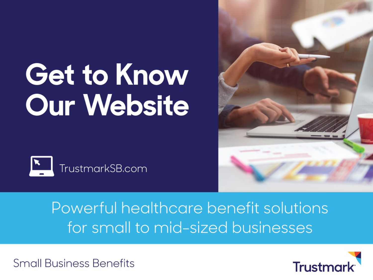# **Get to Know Our Website**





### Powerful healthcare benefit solutions for small to mid-sized businesses

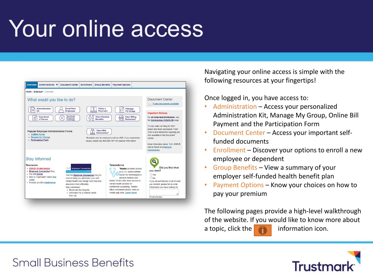## Your online access



Navigating your online access is simple with the following resources at your fingertips!

Once logged in, you have access to:

- Administration Access your personalized Administration Kit, Manage My Group, Online Bill Payment and the Participation Form
- Document Center Access your important selffunded documents
- Enrollment Discover your options to enroll a new employee or dependent
- Group Benefits View a summary of your employer self-funded health benefit plan
- Payment Options Know your choices on how to pay your premium

The following pages provide a high-level walkthrough of the website. If you would like to know more about a topic, click the  $\blacksquare$  information icon.

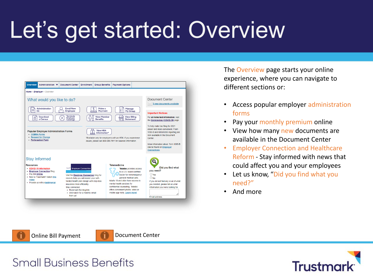### Let's get started: Overview



The Overview page starts your online experience, where you can navigate to different sections or:

- Access popular employer administration forms
- Pay your monthly premium online
- View how many new documents are available in the Document Center
- Employer Connection and Healthcare Reform - Stay informed with news that could affect you and your employees
- Let us know, "Did you find what you need?"
- And more

[Online Bill Payment](https://sbb.trustmarkbenefits.com/forms/b680/t500-200/website-online-bill-payment/) **Designal [Document Center](https://sbb.trustmarkbenefits.com/forms/b680/t500-200/website-document-center-employer/)** 

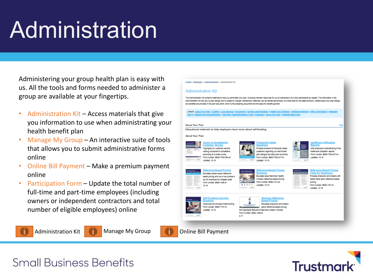### Administration

Administering your group health plan is easy with us. All the tools and forms needed to administer a group are available at your fingertips.

- Administration Kit Access materials that give you information to use when administrating your health benefit plan
- Manage My Group An interactive suite of tools that allows you to submit administrative forms online
- Online Bill Payment Make a premium payment online
- Participation Form Update the total number of full-time and part-time employees (including owners or independent contractors and total number of eligible employees) online







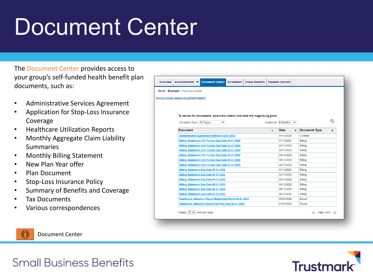### Document Center

The Document Center provides access to your group's self-funded health benefit plan documents, such as:

- Administrative Services Agreement
- Application for Stop-Loss Insurance Coverage
- Healthcare Utilization Reports
- Monthly Aggregate Claim Liability Summaries
- Monthly Billing Statement
- New Plan Year offer
- Plan Document
- Stop-Loss Insurance Policy
- Summary of Benefits and Coverage
- Tax Documents
- Various correspondences

| <b>Overview</b> | <b>Document Center</b><br><b>Group Benefits</b><br>Administration $\blacktriangledown$<br><b>Enrollment</b> |                  | <b>Payment Options</b>        |           |                               |
|-----------------|-------------------------------------------------------------------------------------------------------------|------------------|-------------------------------|-----------|-------------------------------|
|                 | Home > Employer > Document Center                                                                           |                  |                               |           |                               |
|                 | Having trouble accessing content below?                                                                     |                  |                               |           |                               |
|                 |                                                                                                             |                  |                               |           |                               |
|                 |                                                                                                             |                  |                               |           |                               |
|                 | To search for documents, select the criteria and click the magnifying glass.                                |                  |                               |           |                               |
|                 |                                                                                                             |                  |                               |           |                               |
|                 | Document Type: All Types<br>$\check{ }$                                                                     |                  | Created in: $6$ Months $\vee$ |           |                               |
|                 | Document                                                                                                    | $\blacktriangle$ | Date                          | $\bullet$ | Document Type<br>$\triangleq$ |
|                 | <b>Administrative Agreement Effective 04-01-2022</b>                                                        |                  | 01/14/2022                    |           | Contract                      |
|                 | Billing Statement CSV Format Due Date 02-01-2022                                                            |                  | 01/11/2022                    |           | Billing                       |
|                 | Billing Statement CSV Format Due Date 03-01-2022                                                            |                  | 02/10/2022                    |           | Billing                       |
|                 | Billing Statement CSV Format Due Date 04-01-2022                                                            |                  | 03/10/2022                    |           | Billing                       |
|                 | Billing Statement CSV Format Due Date 05-01-2022                                                            |                  | 04/12/2022                    |           | Billing                       |
|                 | Billing Statement CSV Format Due Date 06-01-2022                                                            |                  | 05/10/2022                    |           | Billing                       |
|                 | Billing Statement CSV Format Due Date 07-01-2022                                                            |                  | 06/10/2022                    |           | Billing                       |
|                 | Billing Statement Due Date 02-01-2022                                                                       |                  | 01/11/2022                    |           | Billing                       |
|                 | Billing Statement Due Date 03-01-2022                                                                       |                  | 02/10/2022                    |           | Billing                       |
|                 | Billing Statement Due Date 04-01-2022                                                                       |                  | 03/10/2022                    |           | Billing                       |
|                 | Billing Statement Due Date 05-01-2022                                                                       |                  | 04/12/2022                    |           | Billing                       |
|                 | Billing Statement Due Date 06-01-2022                                                                       |                  | 05/10/2022                    |           | Billing                       |
|                 | Billing Statement Due Date 07-01-2022                                                                       |                  | 06/10/2022                    |           | Billing                       |
|                 | <b>Healthcare Utilization Report Beginning Period 04-01-2021</b>                                            |                  | 05/20/2022                    |           | Report                        |
|                 | <b>Healthcare Utilization Report For Plan Year 04-01-2022</b>                                               |                  | 01/20/2022                    |           | Report                        |



[Document Center](https://sbb.trustmarkbenefits.com/forms/b680/t500-200/website-document-center-employer/)

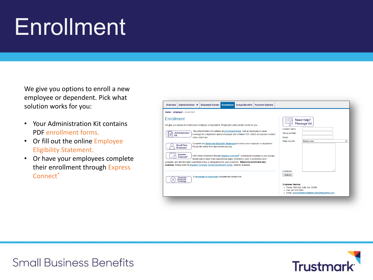### Enrollment

We give you options to enroll a new employee or dependent. Pick what solution works for you:

- Your Administration Kit contains PDF enrollment forms.
- Or fill out the online Employee Eligibility Statement.
- Or have your employees complete their enrollment through Express Connect<sup>®</sup>

| <b>Document Center</b><br><b>Enrollment</b><br><b>Group Benefits</b><br><b>Payment Options</b><br>Overview<br>Administration ▼                                                                                                                                                                                                                                                                                                                                                                                                                                                                                                                                                                                                                                                                                                                                                                                                                                           |                                                                                                                                                              |
|--------------------------------------------------------------------------------------------------------------------------------------------------------------------------------------------------------------------------------------------------------------------------------------------------------------------------------------------------------------------------------------------------------------------------------------------------------------------------------------------------------------------------------------------------------------------------------------------------------------------------------------------------------------------------------------------------------------------------------------------------------------------------------------------------------------------------------------------------------------------------------------------------------------------------------------------------------------------------|--------------------------------------------------------------------------------------------------------------------------------------------------------------|
| Home > Employer > Enrollment                                                                                                                                                                                                                                                                                                                                                                                                                                                                                                                                                                                                                                                                                                                                                                                                                                                                                                                                             |                                                                                                                                                              |
| Enrollment<br>We give you options to enroll a new employee or dependent. Simply pick what solution works for you.<br>The Administration Kit contains all enrollment forms. Add an employee or waive<br>Administration<br>coverage for a dependent and/or employee with a fillable PDF. Watch an Express Connect<br>≣<br>Kit<br>video. And more.<br>Complete the Employee Eligibility Statement to enroll a new employee or dependent.<br><b>Enroll New</b><br>Fill out the online form and submit securely.<br>Employee<br><b>Express</b><br>With online enrollment through Express Connect <sup>®</sup> , enrolling for coverage in your group's<br>Connect <sup>*</sup><br>health plan is faster than conventional paper enrollment, easy to understand and<br>complete, and all information submitted online is safeguarded for your protection. Telephone enrollment also<br>available. Please read the Express Connect: Online Enrollment Guide. Spanish available. | Need Help?<br><b>Message Us!</b><br>Contant name<br>Group number<br>Email<br>Select one<br>Help me with:<br>$\check{ }$                                      |
| To terminate an employee complete this online form.<br>Terminate<br>Employee<br>Coverage                                                                                                                                                                                                                                                                                                                                                                                                                                                                                                                                                                                                                                                                                                                                                                                                                                                                                 | Comment<br>Submit<br><b>Customer Service</b><br>• Phone: 800.522.1246, ext. 35399<br>· Fax: 847.615.3955<br>· Email: Administration SB@trustmarkbenefits.com |

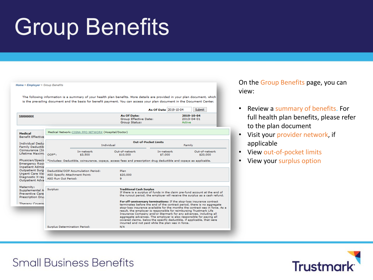### Group Benefits

|        | Medical Network: CIGNA PPO NETWORK (Hospital/Doctor) | <b>As Of Date:</b><br>Group Effective Date:<br>Group Status:                                                                  |                                                                                                                                                          | As Of Date 2019-10-04<br>Artive | <b>Submit</b><br>2019-10-04<br>2013-04-01                                                                                                                                                                                                                                                                                                                                                                                                                                                                                                                                                                                                                                                                            |  |  |
|--------|------------------------------------------------------|-------------------------------------------------------------------------------------------------------------------------------|----------------------------------------------------------------------------------------------------------------------------------------------------------|---------------------------------|----------------------------------------------------------------------------------------------------------------------------------------------------------------------------------------------------------------------------------------------------------------------------------------------------------------------------------------------------------------------------------------------------------------------------------------------------------------------------------------------------------------------------------------------------------------------------------------------------------------------------------------------------------------------------------------------------------------------|--|--|
|        |                                                      |                                                                                                                               |                                                                                                                                                          |                                 |                                                                                                                                                                                                                                                                                                                                                                                                                                                                                                                                                                                                                                                                                                                      |  |  |
|        |                                                      |                                                                                                                               |                                                                                                                                                          |                                 |                                                                                                                                                                                                                                                                                                                                                                                                                                                                                                                                                                                                                                                                                                                      |  |  |
|        | Individual                                           | Out-of-Pocket Limits<br>Family                                                                                                |                                                                                                                                                          |                                 |                                                                                                                                                                                                                                                                                                                                                                                                                                                                                                                                                                                                                                                                                                                      |  |  |
| $OOP*$ | In-network<br>\$3,500                                | Out-of-network<br>\$10,000                                                                                                    | In-network                                                                                                                                               |                                 | Out-of-network<br>\$20,000                                                                                                                                                                                                                                                                                                                                                                                                                                                                                                                                                                                                                                                                                           |  |  |
|        |                                                      |                                                                                                                               |                                                                                                                                                          |                                 |                                                                                                                                                                                                                                                                                                                                                                                                                                                                                                                                                                                                                                                                                                                      |  |  |
|        |                                                      | Plan.                                                                                                                         |                                                                                                                                                          |                                 |                                                                                                                                                                                                                                                                                                                                                                                                                                                                                                                                                                                                                                                                                                                      |  |  |
|        |                                                      | \$20,000                                                                                                                      |                                                                                                                                                          |                                 |                                                                                                                                                                                                                                                                                                                                                                                                                                                                                                                                                                                                                                                                                                                      |  |  |
|        |                                                      | 9                                                                                                                             |                                                                                                                                                          |                                 |                                                                                                                                                                                                                                                                                                                                                                                                                                                                                                                                                                                                                                                                                                                      |  |  |
|        |                                                      |                                                                                                                               |                                                                                                                                                          |                                 |                                                                                                                                                                                                                                                                                                                                                                                                                                                                                                                                                                                                                                                                                                                      |  |  |
|        |                                                      |                                                                                                                               | If there is a surplus of funds in the claim pre-fund account at the end of<br>the runout period, the employer will receive the surplus as a cash refund. |                                 |                                                                                                                                                                                                                                                                                                                                                                                                                                                                                                                                                                                                                                                                                                                      |  |  |
|        |                                                      |                                                                                                                               |                                                                                                                                                          |                                 |                                                                                                                                                                                                                                                                                                                                                                                                                                                                                                                                                                                                                                                                                                                      |  |  |
|        | Surplus:                                             | Deductible/OOP Accumulation Period:<br>ASO Specific Attachment Point:<br>ASO Run Out Period:<br>Surplus Determination Period: | N/A                                                                                                                                                      | <b>Traditional Cash Surplus</b> | \$7,000<br>*Includes: Deductible, coinsurance, copays, access fees and prescription drug deductible and copays as applicable.<br>For off-anniversary terminations: If the stop-loss insurance contract<br>terminates before the end of the contract period, there is no aggregate<br>stop-loss insurance available for the months the contract was in force. As a<br>result, the employer is responsible for reimbursing Trustmark Life<br>Insurance Company and/or Starmark for any advances, including all<br>aggregate advances. The employer is also responsible for paying all<br>covered claims, below the specific deductible, if applicable, that were<br>incurred and not paid while the plan was in force. |  |  |

On the Group Benefits page, you can view:

- Review a summary of benefits. For full health plan benefits, please refer to the plan document
- Visit your provider network, if applicable
- View out-of-pocket limits
- View your surplus option

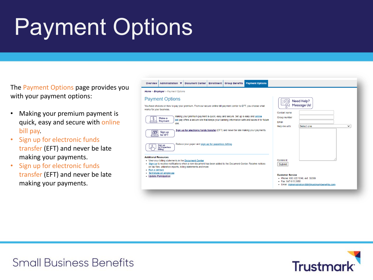## Payment Options

The Payment Options page provides you with your payment options:

- Making your premium payment is quick, easy and secure with online bill pay.
- Sign up for electronic funds transfer (EFT) and never be late making your payments.
- Sign up for electronic funds transfer (EFT) and never be late making your payments.

| Home > Employer > Payment Options                                                                                                                                                                                                                                                                                                                                                                                                                                                                     |                                                                                                                                         |
|-------------------------------------------------------------------------------------------------------------------------------------------------------------------------------------------------------------------------------------------------------------------------------------------------------------------------------------------------------------------------------------------------------------------------------------------------------------------------------------------------------|-----------------------------------------------------------------------------------------------------------------------------------------|
| <b>Payment Options</b><br>You have choices on how to pay your premium. From our secure online bill payment center to EFT, you choose what<br>works for your business.<br>Making your premium payment is quick, easy and secure. Set up is easy and online<br>Make a<br>bill pay offers a secure site that keeps your banking information safe and saves it for future<br>Payment<br>use.<br>Sign up for electronic funds transfer (EFT) and never be late making your payments.<br>Sign up<br>for EFT | Need Help?<br><b>Message Us!</b><br>Contant name<br>Group number<br>Email<br>Select one<br>Help me with:<br>$\check{ }$                 |
| Reduce your paper and sign up for paperless billing.<br>Sign up<br>for Paperless<br>Billing                                                                                                                                                                                                                                                                                                                                                                                                           |                                                                                                                                         |
| <b>Additional Resources</b><br>• View your billing statements in the Document Center<br>. Sign up to receive notifications when a new document has been added to the Document Center. Receive notices<br>on tax files, utilization reports, billing statements and more.<br>• Run a census                                                                                                                                                                                                            | Comment<br>Submit                                                                                                                       |
| • Terminate an employee<br>• Update Paricipation                                                                                                                                                                                                                                                                                                                                                                                                                                                      | <b>Customer Service</b><br>• Phone: 800.522.1246. ext. 35399<br>· Fax: 847.615.3955<br>· Email: Administration SB@trustmarkbenefits.com |

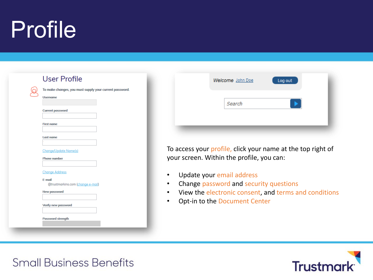### Profile

| <b>User Profile</b>                                                       |
|---------------------------------------------------------------------------|
| To make changes, you must supply your current password<br><b>Username</b> |
| <b>Current password</b>                                                   |
| <b>First name</b>                                                         |
| Last name                                                                 |
| <b>Change/Update Name(s)</b><br><b>Phone number</b>                       |
| <b>Change Address</b>                                                     |
| E-mail<br>@trustmarkins.com (change e-mail)                               |
| <b>New password</b>                                                       |
| <b>Verify new password</b>                                                |
| <b>Password strength</b>                                                  |

| Welcome John Doe | Log out |  |
|------------------|---------|--|
| Search           |         |  |
|                  |         |  |

To access your profile, click your name at the top right of your screen. Within the profile, you can:

- Update your email address
- Change password and security questions
- View the electronic consent, and terms and conditions
- Opt-in to the Document Center